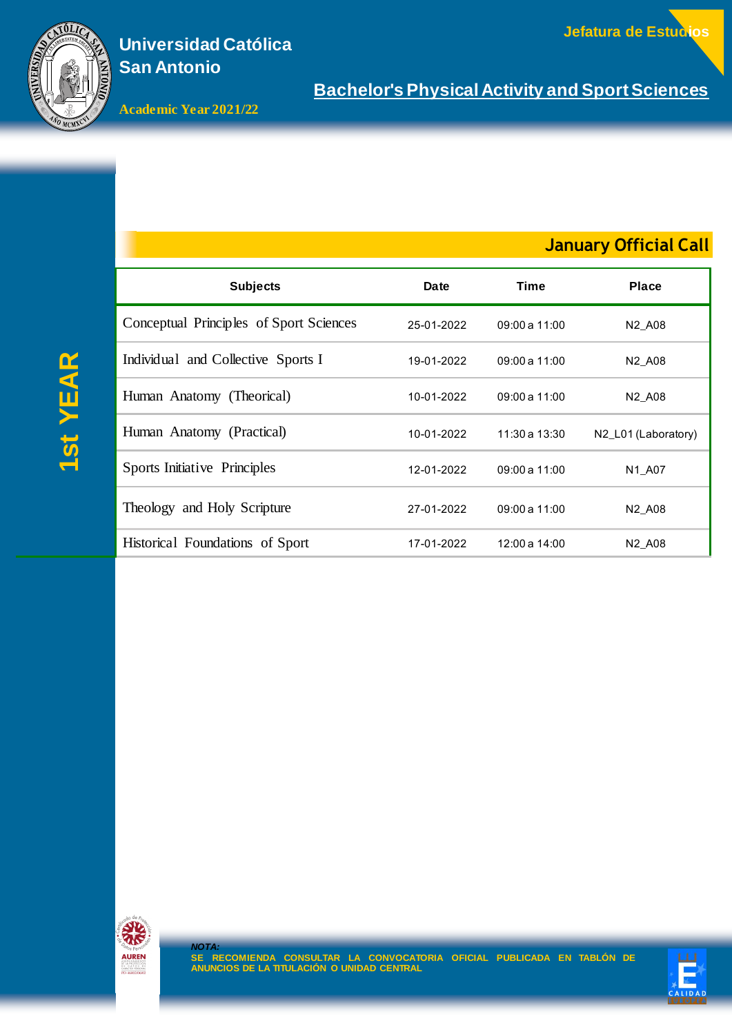

**Academic Year 2021/22**

## **January Official Call**

| <b>Subjects</b>                         | Date       | Time           | <b>Place</b>                    |
|-----------------------------------------|------------|----------------|---------------------------------|
| Conceptual Principles of Sport Sciences | 25-01-2022 | 09:00 a 11:00  | N <sub>2</sub> A <sub>08</sub>  |
| Individual and Collective Sports I      | 19-01-2022 | 09:00a 11:00   | N <sub>2</sub> _A <sub>08</sub> |
| Human Anatomy (Theorical)               | 10-01-2022 | 09:00a 11:00   | N <sub>2</sub> A <sub>08</sub>  |
| Human Anatomy (Practical)               | 10-01-2022 | 11:30 a 13:30  | N2_L01 (Laboratory)             |
| Sports Initiative Principles            | 12-01-2022 | 09:00 a 11:00  | N <sub>1</sub> A <sub>0</sub> 7 |
| Theology and Holy Scripture             | 27-01-2022 | $09:00a$ 11:00 | N <sub>2</sub> A <sub>08</sub>  |
| Historical Foundations of Sport         | 17-01-2022 | 12:00 a 14:00  | N <sub>2</sub> A <sub>08</sub>  |

**<sup>1</sup>st YEAR**



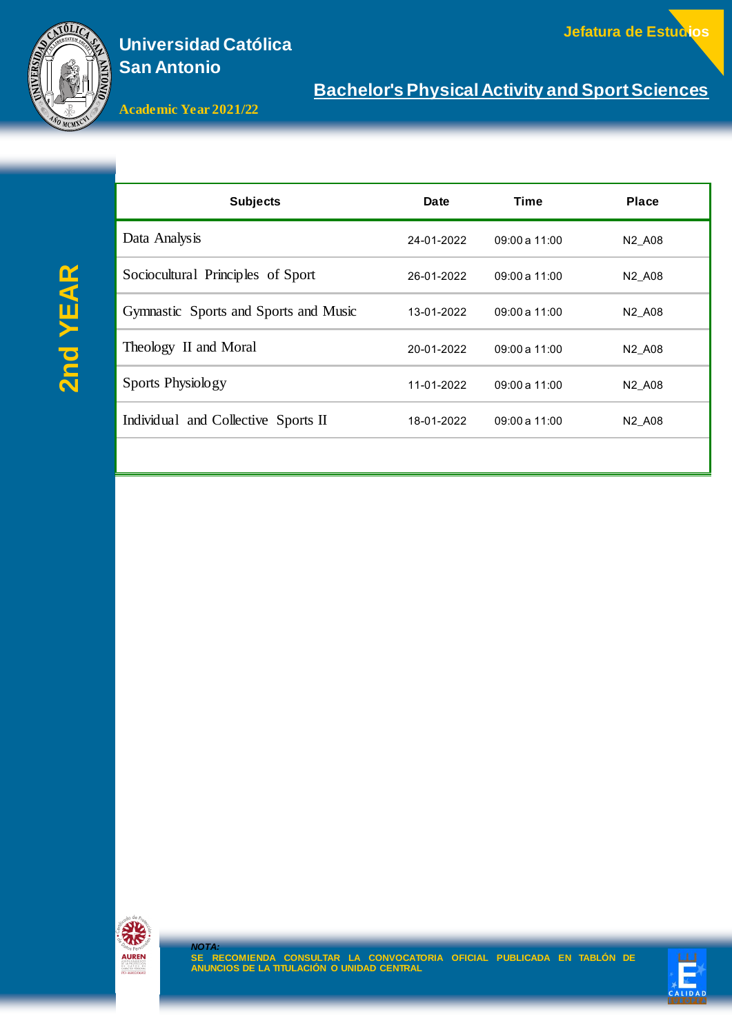

**Bachelor's Physical Activity and Sport Sciences**

**Academic Year 2021/22**

# **2nd YEAR**

| <b>Subjects</b>                       | <b>Date</b> | Time           | <b>Place</b>                   |
|---------------------------------------|-------------|----------------|--------------------------------|
| Data Analysis                         | 24-01-2022  | 09:00a11:00    | N <sub>2</sub> A <sub>08</sub> |
| Sociocultural Principles of Sport     | 26-01-2022  | $09:00a$ 11:00 | N <sub>2</sub> A <sub>08</sub> |
| Gymnastic Sports and Sports and Music | 13-01-2022  | $09:00a$ 11:00 | N <sub>2</sub> A <sub>08</sub> |
| Theology II and Moral                 | 20-01-2022  | $09:00a$ 11:00 | N <sub>2</sub> A <sub>08</sub> |
| Sports Physiology                     | 11-01-2022  | 09:00a 11:00   | N <sub>2</sub> A <sub>08</sub> |
| Individual and Collective Sports II   | 18-01-2022  | 09:00a 11:00   | N <sub>2</sub> A <sub>08</sub> |
|                                       |             |                |                                |



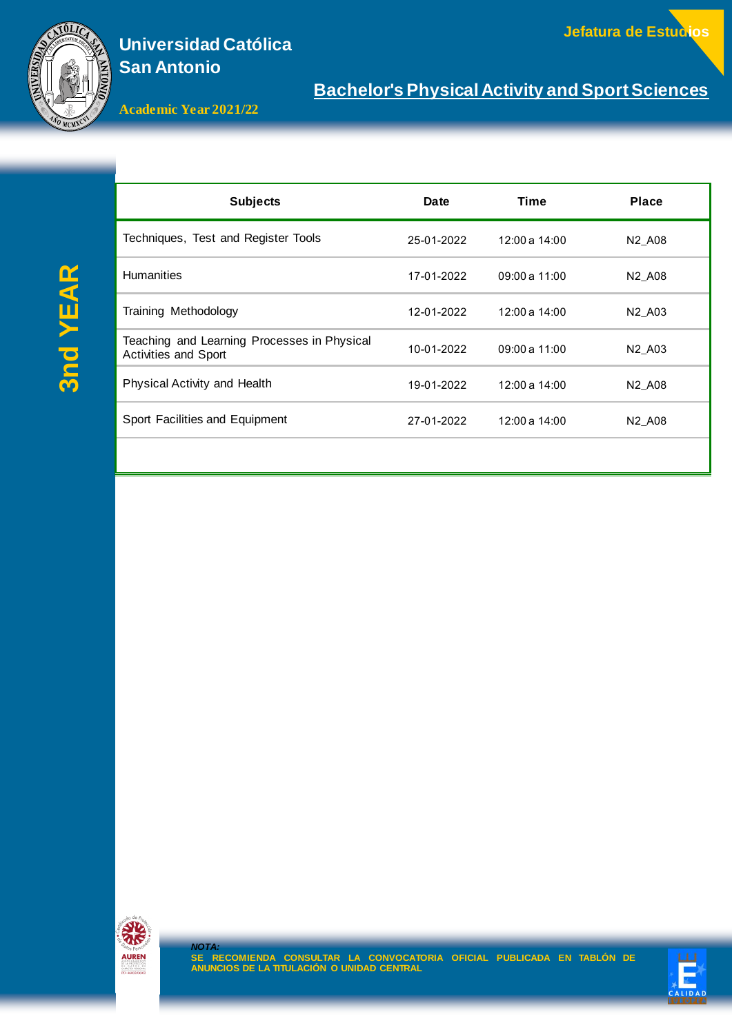

**Jefatura de Estudios**

**Bachelor's Physical Activity and Sport Sciences**

**Academic Year 2021/22**

| <b>Subjects</b>                                                            | Date       | Time           | <b>Place</b>                   |
|----------------------------------------------------------------------------|------------|----------------|--------------------------------|
| Techniques, Test and Register Tools                                        | 25-01-2022 | 12:00 a 14:00  | N <sub>2</sub> A <sub>08</sub> |
| <b>Humanities</b>                                                          | 17-01-2022 | $09:00a$ 11:00 | N <sub>2</sub> A <sub>08</sub> |
| Training Methodology                                                       | 12-01-2022 | 12:00 a 14:00  | N <sub>2</sub> A <sub>03</sub> |
| Teaching and Learning Processes in Physical<br><b>Activities and Sport</b> | 10-01-2022 | 09:00a 11:00   | N <sub>2</sub> A <sub>03</sub> |
| Physical Activity and Health                                               | 19-01-2022 | 12:00 a 14:00  | N <sub>2</sub> A <sub>08</sub> |
| Sport Facilities and Equipment                                             | 27-01-2022 | 12:00 a 14:00  | N <sub>2</sub> A <sub>08</sub> |
|                                                                            |            |                |                                |